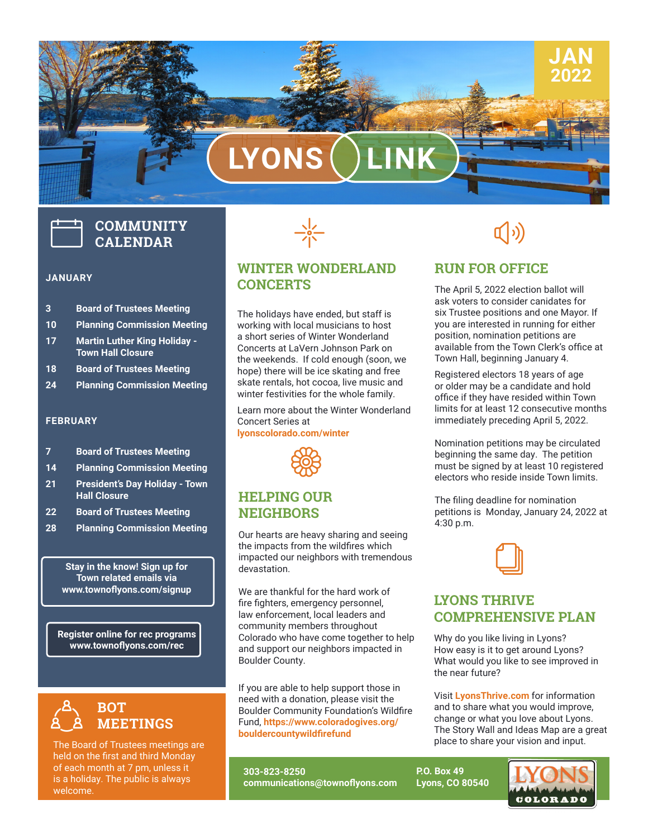# **LYONS LINK**

# **COMMUNITY CALENDAR**

#### **JANUARY**

- **3 Board of Trustees Meeting**
- **10 Planning Commission Meeting**
- **17 Martin Luther King Holiday Town Hall Closure**
- **18 Board of Trustees Meeting**
- **24 Planning Commission Meeting**

#### **FEBRUARY**

- **7 Board of Trustees Meeting**
- **14 Planning Commission Meeting**
- **21 President's Day Holiday Town Hall Closure**
- **22 Board of Trustees Meeting**
- **28 Planning Commission Meeting**

**Stay in the know! Sign up for Town related emails via www.townoflyons.com/signup**

**Register online for rec programs www.townoflyons.com/rec**



The Board of Trustees meetings are held on the first and third Monday of each month at 7 pm, unless it is a holiday. The public is always welcome.



# **WINTER WONDERLAND CONCERTS**

The holidays have ended, but staff is working with local musicians to host a short series of Winter Wonderland Concerts at LaVern Johnson Park on the weekends. If cold enough (soon, we hope) there will be ice skating and free skate rentals, hot cocoa, live music and winter festivities for the whole family.

Learn more about the Winter Wonderland Concert Series at **lyonscolorado.com/winter**



# **HELPING OUR NEIGHBORS**

Our hearts are heavy sharing and seeing the impacts from the wildfires which impacted our neighbors with tremendous devastation.

We are thankful for the hard work of fire fighters, emergency personnel, law enforcement, local leaders and community members throughout Colorado who have come together to help and support our neighbors impacted in Boulder County.

Boulder County.<br>If you are able to help support those in need with a donation, please visit the Boulder Community Foundation's Wildfire Fund, **https://www.coloradogives.org/ bouldercountywildfirefund**

**303-823-8250 communications@townoflyons.com**

 $\rightarrow$   $\rightarrow$ 

**JAN 2022**

# **RUN FOR OFFICE**

The April 5, 2022 election ballot will ask voters to consider canidates for six Trustee positions and one Mayor. If you are interested in running for either position, nomination petitions are available from the Town Clerk's office at Town Hall, beginning January 4.

Registered electors 18 years of age or older may be a candidate and hold office if they have resided within Town limits for at least 12 consecutive months immediately preceding April 5, 2022.

Nomination petitions may be circulated beginning the same day. The petition must be signed by at least 10 registered electors who reside inside Town limits.

The filing deadline for nomination petitions is Monday, January 24, 2022 at 4:30 p.m.



# **LYONS THRIVE COMPREHENSIVE PLAN**

Why do you like living in Lyons? How easy is it to get around Lyons? What would you like to see improved in the near future?

Visit **LyonsThrive.com** for information and to share what you would improve, change or what you love about Lyons. The Story Wall and Ideas Map are a great place to share your vision and input.

**P.O. Box 49 Lyons, CO 80540** COLORADO